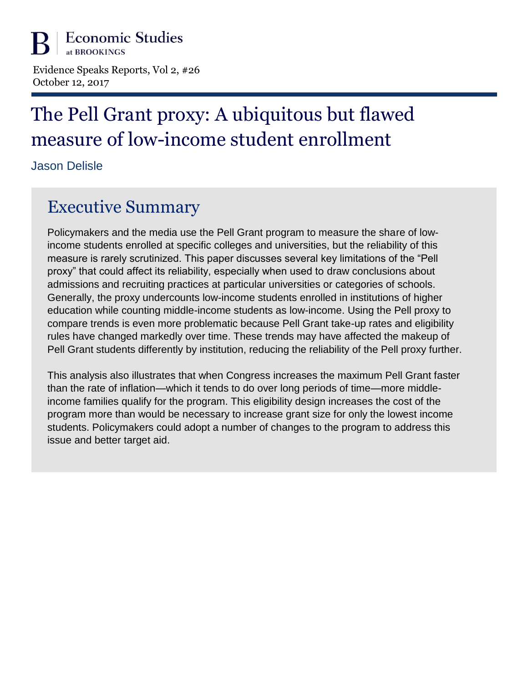Evidence Speaks Reports, Vol 2, #26 October 12, 2017

# The Pell Grant proxy: A ubiquitous but flawed measure of low-income student enrollment

Jason Delisle

## Executive Summary

Policymakers and the media use the Pell Grant program to measure the share of lowincome students enrolled at specific colleges and universities, but the reliability of this measure is rarely scrutinized. This paper discusses several key limitations of the "Pell proxy" that could affect its reliability, especially when used to draw conclusions about admissions and recruiting practices at particular universities or categories of schools. Generally, the proxy undercounts low-income students enrolled in institutions of higher education while counting middle-income students as low-income. Using the Pell proxy to compare trends is even more problematic because Pell Grant take-up rates and eligibility rules have changed markedly over time. These trends may have affected the makeup of Pell Grant students differently by institution, reducing the reliability of the Pell proxy further.

This analysis also illustrates that when Congress increases the maximum Pell Grant faster than the rate of inflation—which it tends to do over long periods of time—more middleincome families qualify for the program. This eligibility design increases the cost of the program more than would be necessary to increase grant size for only the lowest income students. Policymakers could adopt a number of changes to the program to address this issue and better target aid.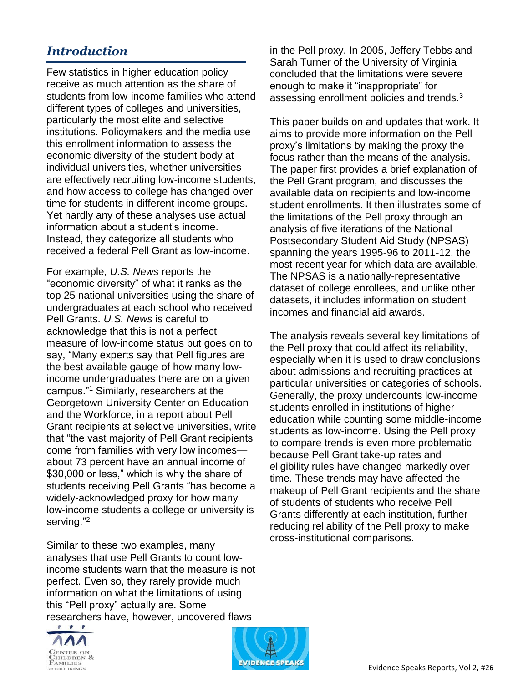## *Introduction*

Few statistics in higher education policy receive as much attention as the share of students from low-income families who attend different types of colleges and universities, particularly the most elite and selective institutions. Policymakers and the media use this enrollment information to assess the economic diversity of the student body at individual universities, whether universities are effectively recruiting low-income students, and how access to college has changed over time for students in different income groups. Yet hardly any of these analyses use actual information about a student's income. Instead, they categorize all students who received a federal Pell Grant as low-income.

For example, *U.S. News* reports the "economic diversity" of what it ranks as the top 25 national universities using the share of undergraduates at each school who received Pell Grants. *U.S. News* is careful to acknowledge that this is not a perfect measure of low-income status but goes on to say, "Many experts say that Pell figures are the best available gauge of how many lowincome undergraduates there are on a given campus."<sup>1</sup> Similarly, researchers at the Georgetown University Center on Education and the Workforce, in a report about Pell Grant recipients at selective universities, write that "the vast majority of Pell Grant recipients come from families with very low incomes about 73 percent have an annual income of \$30,000 or less," which is why the share of students receiving Pell Grants "has become a widely-acknowledged proxy for how many low-income students a college or university is serving."<sup>2</sup>

Similar to these two examples, many analyses that use Pell Grants to count lowincome students warn that the measure is not perfect. Even so, they rarely provide much information on what the limitations of using this "Pell proxy" actually are. Some researchers have, however, uncovered flaws





in the Pell proxy. In 2005, Jeffery Tebbs and Sarah Turner of the University of Virginia concluded that the limitations were severe enough to make it "inappropriate" for assessing enrollment policies and trends.<sup>3</sup>

This paper builds on and updates that work. It aims to provide more information on the Pell proxy's limitations by making the proxy the focus rather than the means of the analysis. The paper first provides a brief explanation of the Pell Grant program, and discusses the available data on recipients and low-income student enrollments. It then illustrates some of the limitations of the Pell proxy through an analysis of five iterations of the National Postsecondary Student Aid Study (NPSAS) spanning the years 1995-96 to 2011-12, the most recent year for which data are available. The NPSAS is a nationally-representative dataset of college enrollees, and unlike other datasets, it includes information on student incomes and financial aid awards.

The analysis reveals several key limitations of the Pell proxy that could affect its reliability, especially when it is used to draw conclusions about admissions and recruiting practices at particular universities or categories of schools. Generally, the proxy undercounts low-income students enrolled in institutions of higher education while counting some middle-income students as low-income. Using the Pell proxy to compare trends is even more problematic because Pell Grant take-up rates and eligibility rules have changed markedly over time. These trends may have affected the makeup of Pell Grant recipients and the share of students of students who receive Pell Grants differently at each institution, further reducing reliability of the Pell proxy to make cross-institutional comparisons.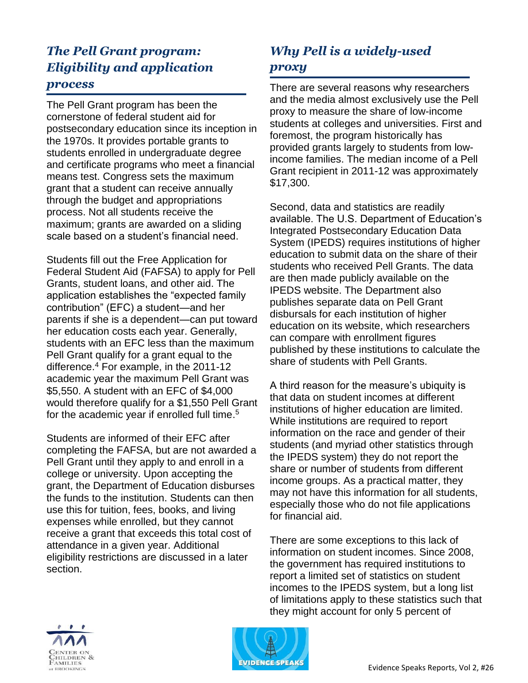## *The Pell Grant program: Eligibility and application process*

The Pell Grant program has been the cornerstone of federal student aid for postsecondary education since its inception in the 1970s. It provides portable grants to students enrolled in undergraduate degree and certificate programs who meet a financial means test. Congress sets the maximum grant that a student can receive annually through the budget and appropriations process. Not all students receive the maximum; grants are awarded on a sliding scale based on a student's financial need.

Students fill out the Free Application for Federal Student Aid (FAFSA) to apply for Pell Grants, student loans, and other aid. The application establishes the "expected family contribution" (EFC) a student—and her parents if she is a dependent—can put toward her education costs each year. Generally, students with an EFC less than the maximum Pell Grant qualify for a grant equal to the difference.<sup>4</sup> For example, in the 2011-12 academic year the maximum Pell Grant was \$5,550. A student with an EFC of \$4,000 would therefore qualify for a \$1,550 Pell Grant for the academic year if enrolled full time. 5

Students are informed of their EFC after completing the FAFSA, but are not awarded a Pell Grant until they apply to and enroll in a college or university. Upon accepting the grant, the Department of Education disburses the funds to the institution. Students can then use this for tuition, fees, books, and living expenses while enrolled, but they cannot receive a grant that exceeds this total cost of attendance in a given year. Additional eligibility restrictions are discussed in a later section.

## *Why Pell is a widely-used proxy*

There are several reasons why researchers and the media almost exclusively use the Pell proxy to measure the share of low-income students at colleges and universities. First and foremost, the program historically has provided grants largely to students from lowincome families. The median income of a Pell Grant recipient in 2011-12 was approximately \$17,300.

Second, data and statistics are readily available. The U.S. Department of Education's Integrated Postsecondary Education Data System (IPEDS) requires institutions of higher education to submit data on the share of their students who received Pell Grants. The data are then made publicly available on the IPEDS website. The Department also publishes separate data on Pell Grant disbursals for each institution of higher education on its website, which researchers can compare with enrollment figures published by these institutions to calculate the share of students with Pell Grants.

A third reason for the measure's ubiquity is that data on student incomes at different institutions of higher education are limited. While institutions are required to report information on the race and gender of their students (and myriad other statistics through the IPEDS system) they do not report the share or number of students from different income groups. As a practical matter, they may not have this information for all students, especially those who do not file applications for financial aid.

There are some exceptions to this lack of information on student incomes. Since 2008, the government has required institutions to report a limited set of statistics on student incomes to the IPEDS system, but a long list of limitations apply to these statistics such that they might account for only 5 percent of



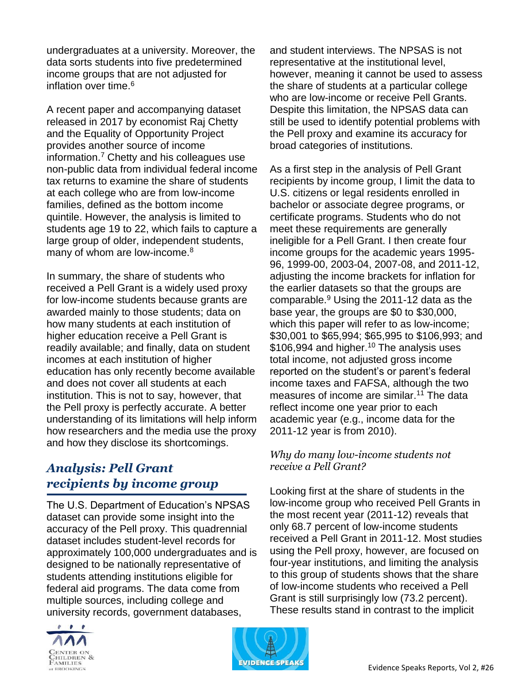undergraduates at a university. Moreover, the data sorts students into five predetermined income groups that are not adjusted for inflation over time.<sup>6</sup>

A recent paper and accompanying dataset released in 2017 by economist Raj Chetty and the Equality of Opportunity Project provides another source of income information.<sup>7</sup> Chetty and his colleagues use non-public data from individual federal income tax returns to examine the share of students at each college who are from low-income families, defined as the bottom income quintile. However, the analysis is limited to students age 19 to 22, which fails to capture a large group of older, independent students, many of whom are low-income.<sup>8</sup>

In summary, the share of students who received a Pell Grant is a widely used proxy for low-income students because grants are awarded mainly to those students; data on how many students at each institution of higher education receive a Pell Grant is readily available; and finally, data on student incomes at each institution of higher education has only recently become available and does not cover all students at each institution. This is not to say, however, that the Pell proxy is perfectly accurate. A better understanding of its limitations will help inform how researchers and the media use the proxy and how they disclose its shortcomings.

## *Analysis: Pell Grant recipients by income group*

The U.S. Department of Education's NPSAS dataset can provide some insight into the accuracy of the Pell proxy. This quadrennial dataset includes student-level records for approximately 100,000 undergraduates and is designed to be nationally representative of students attending institutions eligible for federal aid programs. The data come from multiple sources, including college and university records, government databases,



and student interviews. The NPSAS is not representative at the institutional level, however, meaning it cannot be used to assess the share of students at a particular college who are low-income or receive Pell Grants. Despite this limitation, the NPSAS data can still be used to identify potential problems with the Pell proxy and examine its accuracy for broad categories of institutions.

As a first step in the analysis of Pell Grant recipients by income group, I limit the data to U.S. citizens or legal residents enrolled in bachelor or associate degree programs, or certificate programs. Students who do not meet these requirements are generally ineligible for a Pell Grant. I then create four income groups for the academic years 1995- 96, 1999-00, 2003-04, 2007-08, and 2011-12, adjusting the income brackets for inflation for the earlier datasets so that the groups are comparable.<sup>9</sup> Using the 2011-12 data as the base year, the groups are \$0 to \$30,000, which this paper will refer to as low-income; \$30,001 to \$65,994; \$65,995 to \$106,993; and \$106,994 and higher.<sup>10</sup> The analysis uses total income, not adjusted gross income reported on the student's or parent's federal income taxes and FAFSA, although the two measures of income are similar.<sup>11</sup> The data reflect income one year prior to each academic year (e.g., income data for the 2011-12 year is from 2010).

### *Why do many low-income students not receive a Pell Grant?*

Looking first at the share of students in the low-income group who received Pell Grants in the most recent year (2011-12) reveals that only 68.7 percent of low-income students received a Pell Grant in 2011-12. Most studies using the Pell proxy, however, are focused on four-year institutions, and limiting the analysis to this group of students shows that the share of low-income students who received a Pell Grant is still surprisingly low (73.2 percent). These results stand in contrast to the implicit

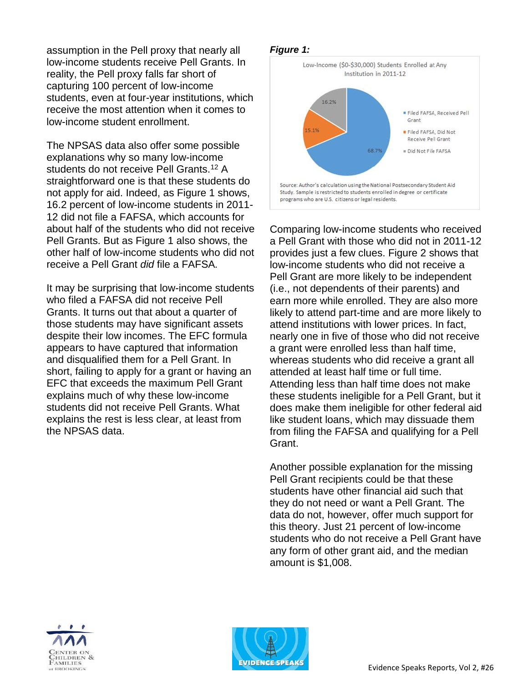assumption in the Pell proxy that nearly all low-income students receive Pell Grants. In reality, the Pell proxy falls far short of capturing 100 percent of low-income students, even at four-year institutions, which receive the most attention when it comes to low-income student enrollment.

The NPSAS data also offer some possible explanations why so many low-income students do not receive Pell Grants.<sup>12</sup> A straightforward one is that these students do not apply for aid. Indeed, as Figure 1 shows, 16.2 percent of low-income students in 2011- 12 did not file a FAFSA, which accounts for about half of the students who did not receive Pell Grants. But as Figure 1 also shows, the other half of low-income students who did not receive a Pell Grant *did* file a FAFSA*.*

It may be surprising that low-income students who filed a FAFSA did not receive Pell Grants. It turns out that about a quarter of those students may have significant assets despite their low incomes. The EFC formula appears to have captured that information and disqualified them for a Pell Grant. In short, failing to apply for a grant or having an EFC that exceeds the maximum Pell Grant explains much of why these low-income students did not receive Pell Grants. What explains the rest is less clear, at least from the NPSAS data.

#### *Figure 1:*



Comparing low-income students who received a Pell Grant with those who did not in 2011-12 provides just a few clues. Figure 2 shows that low-income students who did not receive a Pell Grant are more likely to be independent (i.e., not dependents of their parents) and earn more while enrolled. They are also more likely to attend part-time and are more likely to attend institutions with lower prices. In fact, nearly one in five of those who did not receive a grant were enrolled less than half time, whereas students who did receive a grant all attended at least half time or full time. Attending less than half time does not make these students ineligible for a Pell Grant, but it does make them ineligible for other federal aid like student loans, which may dissuade them from filing the FAFSA and qualifying for a Pell Grant.

Another possible explanation for the missing Pell Grant recipients could be that these students have other financial aid such that they do not need or want a Pell Grant. The data do not, however, offer much support for this theory. Just 21 percent of low-income students who do not receive a Pell Grant have any form of other grant aid, and the median amount is \$1,008.



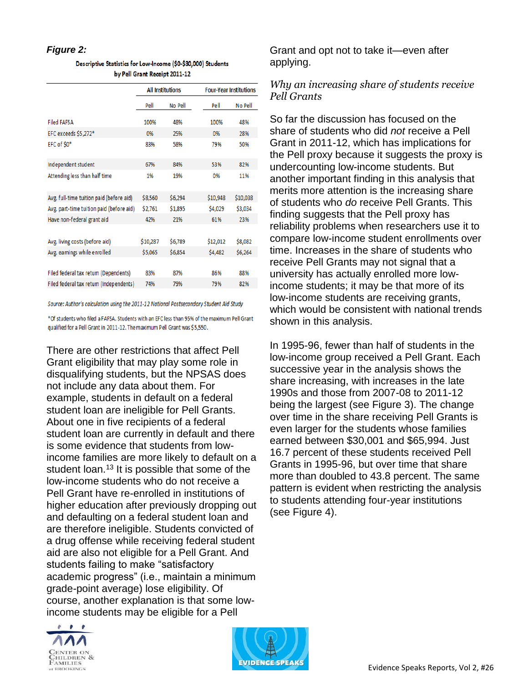#### *Figure 2:*

| Descriptive Statistics for Low-Income (\$0-\$30,000) Students |
|---------------------------------------------------------------|
| by Pell Grant Receipt 2011-12                                 |

|                                          | <b>All Institutions</b> |         | <b>Four-Year Institutions</b> |          |
|------------------------------------------|-------------------------|---------|-------------------------------|----------|
|                                          | Pell                    | No Pell | Pell                          | No Pell  |
| <b>Filed FAFSA</b>                       | 100%                    | 48%     | 100%                          | 48%      |
| EFC exceeds \$5,272*                     | 0%                      | 25%     | 0%                            | 28%      |
| EFC of \$0*                              | 83%                     | 58%     | 79%                           | 50%      |
| Independent student                      | 67%                     | 84%     | 53%                           | 82%      |
| Attending less than half time            | 1%                      | 19%     | 0%                            | 11%      |
| Avg. full-time tuition paid (before aid) | \$8,560                 | \$6,294 | \$10,948                      | \$10,038 |
| Avg. part-time tuition paid (before aid) | \$2,761                 | \$1,895 | \$4,029                       | \$3,034  |
| Have non-federal grant aid               | 42%                     | 21%     | 61%                           | 23%      |
|                                          |                         |         |                               |          |
| Avg. living costs (before aid)           | \$10,287                | \$6,789 | \$12,012                      | \$8,082  |
| Avg. eamings while enrolled              | \$5,065                 | \$6,854 | \$4,482                       | \$6,264  |
|                                          |                         |         |                               |          |
| Filed federal tax retum (Dependents)     | 83%                     | 87%     | 86%                           | 88%      |
| Filed federal tax return (Independents)  | 74%                     | 79%     | 79%                           | 82%      |
|                                          |                         |         |                               |          |

Source: Author's calculation using the 2011-12 National Postsecondary Student Aid Study

\*Of students who filed a FAFSA. Students with an EFC less than 95% of the maximum Pell Grant qualified for a Pell Grant in 2011-12. The maximum Pell Grant was \$5,550.

There are other restrictions that affect Pell Grant eligibility that may play some role in disqualifying students, but the NPSAS does not include any data about them. For example, students in default on a federal student loan are ineligible for Pell Grants. About one in five recipients of a federal student loan are currently in default and there is some evidence that students from lowincome families are more likely to default on a student loan.<sup>13</sup> It is possible that some of the low-income students who do not receive a Pell Grant have re-enrolled in institutions of higher education after previously dropping out and defaulting on a federal student loan and are therefore ineligible. Students convicted of a drug offense while receiving federal student aid are also not eligible for a Pell Grant. And students failing to make "satisfactory academic progress" (i.e., maintain a minimum grade-point average) lose eligibility. Of course, another explanation is that some lowincome students may be eligible for a Pell



Grant and opt not to take it—even after applying.

#### *Why an increasing share of students receive Pell Grants*

So far the discussion has focused on the share of students who did *not* receive a Pell Grant in 2011-12, which has implications for the Pell proxy because it suggests the proxy is undercounting low-income students. But another important finding in this analysis that merits more attention is the increasing share of students who *do* receive Pell Grants. This finding suggests that the Pell proxy has reliability problems when researchers use it to compare low-income student enrollments over time. Increases in the share of students who receive Pell Grants may not signal that a university has actually enrolled more lowincome students; it may be that more of its low-income students are receiving grants, which would be consistent with national trends shown in this analysis.

In 1995-96, fewer than half of students in the low-income group received a Pell Grant. Each successive year in the analysis shows the share increasing, with increases in the late 1990s and those from 2007-08 to 2011-12 being the largest (see Figure 3). The change over time in the share receiving Pell Grants is even larger for the students whose families earned between \$30,001 and \$65,994. Just 16.7 percent of these students received Pell Grants in 1995-96, but over time that share more than doubled to 43.8 percent. The same pattern is evident when restricting the analysis to students attending four-year institutions (see Figure 4).

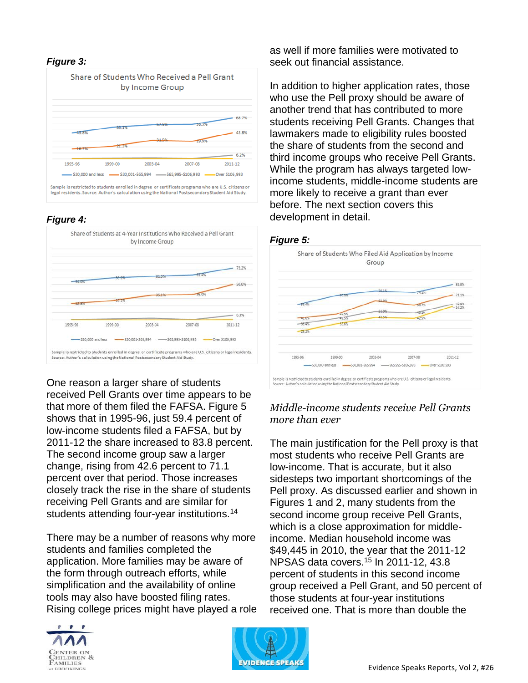#### *Figure 3:*



#### *Figure 4:*



One reason a larger share of students received Pell Grants over time appears to be that more of them filed the FAFSA. Figure 5 shows that in 1995-96, just 59.4 percent of low-income students filed a FAFSA, but by 2011-12 the share increased to 83.8 percent. The second income group saw a larger change, rising from 42.6 percent to 71.1 percent over that period. Those increases closely track the rise in the share of students receiving Pell Grants and are similar for students attending four-year institutions.<sup>14</sup>

There may be a number of reasons why more students and families completed the application. More families may be aware of the form through outreach efforts, while simplification and the availability of online tools may also have boosted filing rates. Rising college prices might have played a role



as well if more families were motivated to seek out financial assistance.

In addition to higher application rates, those who use the Pell proxy should be aware of another trend that has contributed to more students receiving Pell Grants. Changes that lawmakers made to eligibility rules boosted the share of students from the second and third income groups who receive Pell Grants. While the program has always targeted lowincome students, middle-income students are more likely to receive a grant than ever before. The next section covers this development in detail.

#### *Figure 5:*



#### *Middle-income students receive Pell Grants more than ever*

The main justification for the Pell proxy is that most students who receive Pell Grants are low-income. That is accurate, but it also sidesteps two important shortcomings of the Pell proxy. As discussed earlier and shown in Figures 1 and 2, many students from the second income group receive Pell Grants, which is a close approximation for middleincome. Median household income was \$49,445 in 2010, the year that the 2011-12 NPSAS data covers.<sup>15</sup> In 2011-12, 43.8 percent of students in this second income group received a Pell Grant, and 50 percent of those students at four-year institutions received one. That is more than double the

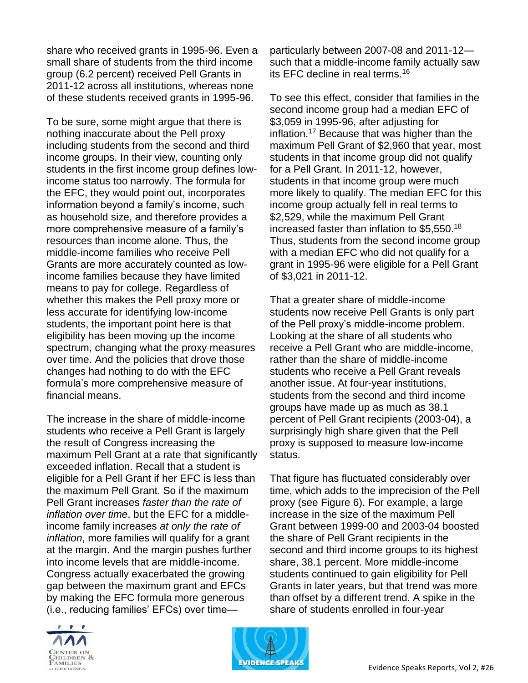share who received grants in 1995-96. Even a small share of students from the third income group (6.2 percent) received Pell Grants in 2011-12 across all institutions, whereas none of these students received grants in 1995-96.

To be sure, some might argue that there is nothing inaccurate about the Pell proxy including students from the second and third income groups. In their view, counting only students in the first income group defines lowincome status too narrowly. The formula for the EFC, they would point out, incorporates information beyond a family's income, such as household size, and therefore provides a more comprehensive measure of a family's resources than income alone. Thus, the middle-income families who receive Pell Grants are more accurately counted as lowincome families because they have limited means to pay for college. Regardless of whether this makes the Pell proxy more or less accurate for identifying low-income students, the important point here is that eligibility has been moving up the income spectrum, changing what the proxy measures over time. And the policies that drove those changes had nothing to do with the EFC formula's more comprehensive measure of financial means.

The increase in the share of middle-income students who receive a Pell Grant is largely the result of Congress increasing the maximum Pell Grant at a rate that significantly exceeded inflation. Recall that a student is eligible for a Pell Grant if her EFC is less than the maximum Pell Grant. So if the maximum Pell Grant increases *faster than the rate of inflation over time*, but the EFC for a middleincome family increases *at only the rate of inflation*, more families will qualify for a grant at the margin. And the margin pushes further into income levels that are middle-income. Congress actually exacerbated the growing gap between the maximum grant and EFCs by making the EFC formula more generous (i.e., reducing families' EFCs) over time—



To see this effect, consider that families in the second income group had a median EFC of \$3,059 in 1995-96, after adjusting for inflation.<sup>17</sup> Because that was higher than the maximum Pell Grant of \$2,960 that year, most students in that income group did not qualify for a Pell Grant. In 2011-12, however, students in that income group were much more likely to qualify. The median EFC for this income group actually fell in real terms to \$2,529, while the maximum Pell Grant increased faster than inflation to \$5,550.<sup>18</sup> Thus, students from the second income group with a median EFC who did not qualify for a grant in 1995-96 were eligible for a Pell Grant of \$3,021 in 2011-12.

That a greater share of middle-income students now receive Pell Grants is only part of the Pell proxy's middle-income problem. Looking at the share of all students who receive a Pell Grant who are middle-income, rather than the share of middle-income students who receive a Pell Grant reveals another issue. At four-year institutions, students from the second and third income groups have made up as much as 38.1 percent of Pell Grant recipients (2003-04), a surprisingly high share given that the Pell proxy is supposed to measure low-income status.

That figure has fluctuated considerably over time, which adds to the imprecision of the Pell proxy (see Figure 6). For example, a large increase in the size of the maximum Pell Grant between 1999-00 and 2003-04 boosted the share of Pell Grant recipients in the second and third income groups to its highest share, 38.1 percent. More middle-income students continued to gain eligibility for Pell Grants in later years, but that trend was more than offset by a different trend. A spike in the share of students enrolled in four-year



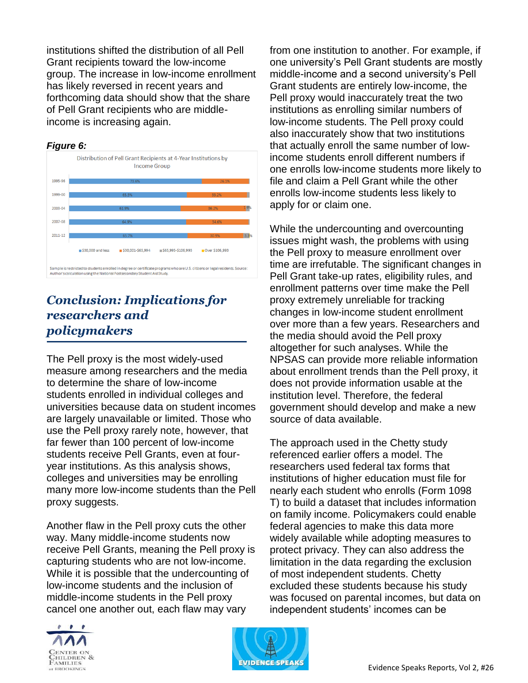institutions shifted the distribution of all Pell Grant recipients toward the low-income group. The increase in low-income enrollment has likely reversed in recent years and forthcoming data should show that the share of Pell Grant recipients who are middleincome is increasing again.



### *Conclusion: Implications for researchers and policymakers*

The Pell proxy is the most widely-used measure among researchers and the media to determine the share of low-income students enrolled in individual colleges and universities because data on student incomes are largely unavailable or limited. Those who use the Pell proxy rarely note, however, that far fewer than 100 percent of low-income students receive Pell Grants, even at fouryear institutions. As this analysis shows, colleges and universities may be enrolling many more low-income students than the Pell proxy suggests.

Another flaw in the Pell proxy cuts the other way. Many middle-income students now receive Pell Grants, meaning the Pell proxy is capturing students who are not low-income. While it is possible that the undercounting of low-income students and the inclusion of middle-income students in the Pell proxy cancel one another out, each flaw may vary



from one institution to another. For example, if one university's Pell Grant students are mostly middle-income and a second university's Pell Grant students are entirely low-income, the Pell proxy would inaccurately treat the two institutions as enrolling similar numbers of low-income students. The Pell proxy could also inaccurately show that two institutions that actually enroll the same number of lowincome students enroll different numbers if one enrolls low-income students more likely to file and claim a Pell Grant while the other enrolls low-income students less likely to apply for or claim one.

While the undercounting and overcounting issues might wash, the problems with using the Pell proxy to measure enrollment over time are irrefutable. The significant changes in Pell Grant take-up rates, eligibility rules, and enrollment patterns over time make the Pell proxy extremely unreliable for tracking changes in low-income student enrollment over more than a few years. Researchers and the media should avoid the Pell proxy altogether for such analyses. While the NPSAS can provide more reliable information about enrollment trends than the Pell proxy, it does not provide information usable at the institution level. Therefore, the federal government should develop and make a new source of data available.

The approach used in the Chetty study referenced earlier offers a model. The researchers used federal tax forms that institutions of higher education must file for nearly each student who enrolls (Form 1098 T) to build a dataset that includes information on family income. Policymakers could enable federal agencies to make this data more widely available while adopting measures to protect privacy. They can also address the limitation in the data regarding the exclusion of most independent students. Chetty excluded these students because his study was focused on parental incomes, but data on independent students' incomes can be

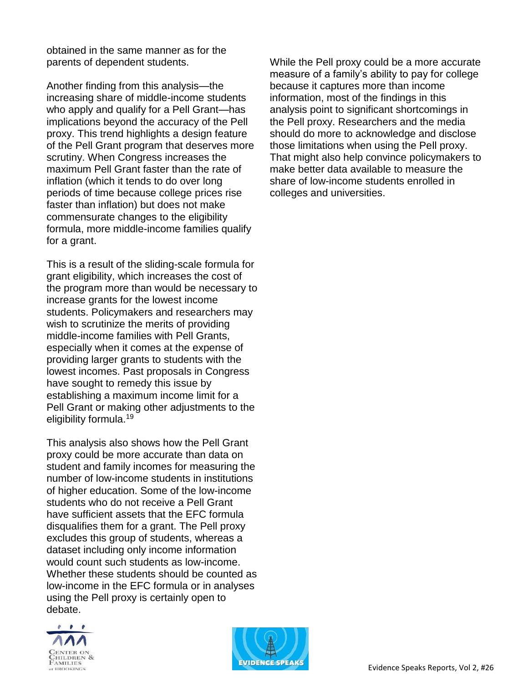obtained in the same manner as for the parents of dependent students.

Another finding from this analysis—the increasing share of middle-income students who apply and qualify for a Pell Grant—has implications beyond the accuracy of the Pell proxy. This trend highlights a design feature of the Pell Grant program that deserves more scrutiny. When Congress increases the maximum Pell Grant faster than the rate of inflation (which it tends to do over long periods of time because college prices rise faster than inflation) but does not make commensurate changes to the eligibility formula, more middle-income families qualify for a grant.

This is a result of the sliding-scale formula for grant eligibility, which increases the cost of the program more than would be necessary to increase grants for the lowest income students. Policymakers and researchers may wish to scrutinize the merits of providing middle-income families with Pell Grants, especially when it comes at the expense of providing larger grants to students with the lowest incomes. Past proposals in Congress have sought to remedy this issue by establishing a maximum income limit for a Pell Grant or making other adjustments to the eligibility formula.<sup>19</sup>

This analysis also shows how the Pell Grant proxy could be more accurate than data on student and family incomes for measuring the number of low-income students in institutions of higher education. Some of the low-income students who do not receive a Pell Grant have sufficient assets that the EFC formula disqualifies them for a grant. The Pell proxy excludes this group of students, whereas a dataset including only income information would count such students as low-income. Whether these students should be counted as low-income in the EFC formula or in analyses using the Pell proxy is certainly open to debate.



While the Pell proxy could be a more accurate measure of a family's ability to pay for college because it captures more than income information, most of the findings in this analysis point to significant shortcomings in the Pell proxy. Researchers and the media should do more to acknowledge and disclose those limitations when using the Pell proxy. That might also help convince policymakers to make better data available to measure the share of low-income students enrolled in colleges and universities.

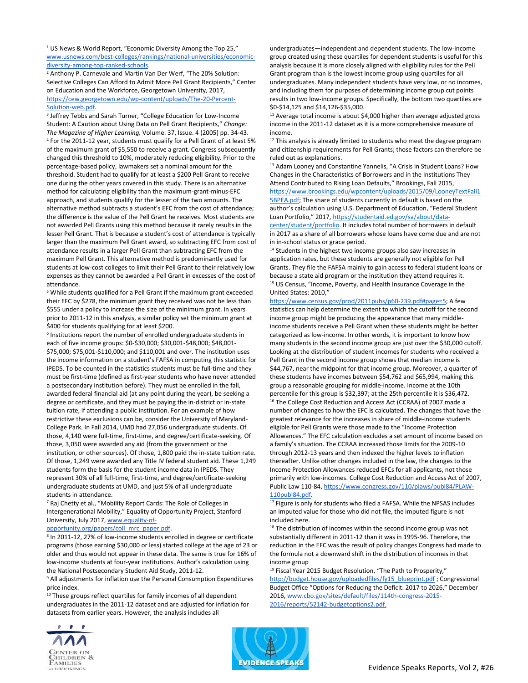<sup>1</sup> US News & World Report, "Economic Diversity Among the Top 25," [www.usnews.com/best-colleges/rankings/national-universities/economic](https://www.usnews.com/best-colleges/rankings/national-universities/economic-diversity-among-top-ranked-schools)[diversity-among-top-ranked-schools.](https://www.usnews.com/best-colleges/rankings/national-universities/economic-diversity-among-top-ranked-schools)

<sup>2</sup> Anthony P. Carnevale and Martin Van Der Werf, "The 20% Solution: Selective Colleges Can Afford to Admit More Pell Grant Recipients," Center on Education and the Workforce, Georgetown University, 2017, [https://cew.georgetown.edu/wp-content/uploads/The-20-Percent-](https://cew.georgetown.edu/wp-content/uploads/The-20-Percent-Solution-web.pdf)[Solution-web.pdf.](https://cew.georgetown.edu/wp-content/uploads/The-20-Percent-Solution-web.pdf)

3 Jeffrey Tebbs and Sarah Turner, "College Education for Low-Income Student: A Caution about Using Data on Pell Grant Recipients," *Change: The Magazine of Higher Learning,* Volume. 37, Issue. 4 (2005) pp. 34-43. <sup>4</sup> For the 2011-12 year, students must qualify for a Pell Grant of at least 5% of the maximum grant of \$5,550 to receive a grant. Congress subsequently changed this threshold to 10%, moderately reducing eligibility. Prior to the percentage-based policy, lawmakers set a nominal amount for the threshold. Student had to qualify for at least a \$200 Pell Grant to receive one during the other years covered in this study. There is an alternative method for calculating eligibility than the maximum-grant-minus-EFC approach, and students qualify for the lesser of the two amounts. The alternative method subtracts a student's EFC from the cost of attendance; the difference is the value of the Pell Grant he receives. Most students are not awarded Pell Grants using this method because it rarely results in the lesser Pell Grant. That is because a student's cost of attendance is typically larger than the maximum Pell Grant award, so subtracting EFC from cost of attendance results in a larger Pell Grant than subtracting EFC from the maximum Pell Grant. This alternative method is predominantly used for students at low-cost colleges to limit their Pell Grant to their relatively low expenses as they cannot be awarded a Pell Grant in excesses of the cost of attendance.

<sup>5</sup> While students qualified for a Pell Grant if the maximum grant exceeded their EFC by \$278, the minimum grant they received was not be less than \$555 under a policy to increase the size of the minimum grant. In years prior to 2011-12 in this analysis, a similar policy set the minimum grant at \$400 for students qualifying for at least \$200.

6 Institutions report the number of enrolled undergraduate students in each of five income groups: \$0-\$30,000; \$30,001-\$48,000; \$48,001- \$75,000; \$75,001-\$110,000; and \$110,001 and over. The institution uses the income information on a student's FAFSA in computing this statistic for IPEDS. To be counted in the statistics students must be full-time and they must be first-time (defined as first-year students who have never attended a postsecondary institution before). They must be enrolled in the fall, awarded federal financial aid (at any point during the year), be seeking a degree or certificate, and they must be paying the in-district or in-state tuition rate, if attending a public institution. For an example of how restrictive these exclusions can be, consider the University of Maryland-College Park. In Fall 2014, UMD had 27,056 undergraduate students. Of those, 4,140 were full-time, first-time, and degree/certificate-seeking. Of those, 3,050 were awarded any aid (from the government or the institution, or other sources). Of those, 1,800 paid the in-state tuition rate. Of those, 1,249 were awarded any Title IV federal student aid. These 1,249 students form the basis for the student income data in IPEDS. They represent 30% of all full-time, first-time, and degree/certificate-seeking undergraduate students at UMD, and just 5% of all undergraduate students in attendance.

<sup>7</sup> Raj Chetty et al., "Mobility Report Cards: The Role of Colleges in Intergenerational Mobility," Equality of Opportunity Project, Stanford University, July 2017[, www.equality-of-](http://www.equality-of-opportunity.org/papers/coll_mrc_paper.pdf)

#### [opportunity.org/papers/coll\\_mrc\\_paper.pdf.](http://www.equality-of-opportunity.org/papers/coll_mrc_paper.pdf)

8 In 2011-12, 27% of low-income students enrolled in degree or certificate programs (those earning \$30,000 or less) started college at the age of 23 or older and thus would not appear in these data. The same is true for 16% of low-income students at four-year institutions. Author's calculation using the National Postsecondary Student Aid Study, 2011-12.

<sup>9</sup> All adjustments for inflation use the Personal Consumption Expenditures price index.

<sup>10</sup> These groups reflect quartiles for family incomes of all dependent undergraduates in the 2011-12 dataset and are adjusted for inflation for datasets from earlier years. However, the analysis includes all

undergraduates—independent and dependent students. The low-income group created using these quartiles for dependent students is useful for this analysis because it is more closely aligned with eligibility rules for the Pell Grant program than is the lowest income group using quartiles for all undergraduates. Many independent students have very low, or no incomes, and including them for purposes of determining income group cut points results in two low-income groups. Specifically, the bottom two quartiles are \$0-\$14,125 and \$14,126-\$35,000.

 $11$  Average total income is about \$4,000 higher than average adjusted gross income in the 2011-12 dataset as it is a more comprehensive measure of income.

<sup>12</sup> This analysis is already limited to students who meet the degree program and citizenship requirements for Pell Grants; those factors can therefore be ruled out as explanations.

13 Adam Looney and Constantine Yannelis, "A Crisis in Student Loans? How Changes in the Characteristics of Borrowers and in the Institutions They Attend Contributed to Rising Loan Defaults," Brookings, Fall 2015, [https://www.brookings.edu/wpcontent/uploads/2015/09/LooneyTextFall1](https://www.brookings.edu/wpcontent/uploads/2015/09/LooneyTextFall15BPEA.pdf) [5BPEA.pdf;](https://www.brookings.edu/wpcontent/uploads/2015/09/LooneyTextFall15BPEA.pdf) The share of students currently in default is based on the author's calculation using U.S. Department of Education, "Federal Student Loan Portfolio," 2017, [https://studentaid.ed.gov/sa/about/data-](https://studentaid.ed.gov/sa/about/data-center/student/portfolio)

[center/student/portfolio.](https://studentaid.ed.gov/sa/about/data-center/student/portfolio) It includes total number of borrowers in default in 2017 as a share of all borrowers whose loans have come due and are not in in-school status or grace period.

<sup>14</sup> Students in the highest two income groups also saw increases in application rates, but these students are generally not eligible for Pell Grants. They file the FAFSA mainly to gain access to federal student loans or because a state aid program or the institution they attend requires it. <sup>15</sup> US Census, "Income, Poverty, and Health Insurance Coverage in the United States: 2010,"

[https://www.census.gov/prod/2011pubs/p60-239.pdf#page=5;](https://www.census.gov/prod/2011pubs/p60-239.pdf#page=5) A few statistics can help determine the extent to which the cutoff for the second income group might be producing the appearance that many middleincome students receive a Pell Grant when these students might be better categorized as low-income. In other words, it is important to know how many students in the second income group are just over the \$30,000 cutoff. Looking at the distribution of student incomes for students who received a Pell Grant in the second income group shows that median income is \$44,767, near the midpoint for that income group. Moreover, a quarter of these students have incomes between \$54,762 and \$65,994, making this group a reasonable grouping for middle-income. Income at the 10th percentile for this group is \$32,397; at the 25th percentile it is \$36,472. <sup>16</sup> The College Cost Reduction and Access Act (CCRAA) of 2007 made a number of changes to how the EFC is calculated. The changes that have the greatest relevance for the increases in share of middle-income students eligible for Pell Grants were those made to the "Income Protection Allowances." The EFC calculation excludes a set amount of income based on a family's situation. The CCRAA increased those limits for the 2009-10 through 2012-13 years and then indexed the higher levels to inflation thereafter. Unlike other changes included in the law, the changes to the Income Protection Allowances reduced EFCs for all applicants, not those primarily with low-incomes. College Cost Reduction and Access Act of 2007, Public Law 110-84[, https://www.congress.gov/110/plaws/publ84/PLAW-](https://www.congress.gov/110/plaws/publ84/PLAW-110publ84.pdf)[110publ84.pdf.](https://www.congress.gov/110/plaws/publ84/PLAW-110publ84.pdf)

<sup>17</sup> Figure is only for students who filed a FAFSA. While the NPSAS includes an imputed value for those who did not file, the imputed figure is not included here.

<sup>18</sup> The distribution of incomes within the second income group was not substantially different in 2011-12 than it was in 1995-96. Therefore, the reduction in the EFC was the result of policy changes Congress had made to the formula not a downward shift in the distribution of incomes in that income group

<sup>19</sup> Fiscal Year 2015 Budget Resolution, ["](http://budget.house.gov/uploadedfiles/fy15_blueprint.pdf)The Path to Prosperity," [http://budget.house.gov/uploadedfiles/fy15\\_blueprint.pdf](http://budget.house.gov/uploadedfiles/fy15_blueprint.pdf) ; Congressional Budget Office "Options for Reducing the Deficit: 2017 to 2026," December 201[6,](https://www.cbo.gov/sites/default/files/114th-congress-2015-2016/reports/52142-budgetoptions2.pdf) [www.cbo.gov/sites/default/files/114th-congress-2015-](https://www.cbo.gov/sites/default/files/114th-congress-2015-2016/reports/52142-budgetoptions2.pdf) [2016/reports/52142-budgetoptions2.pdf.](https://www.cbo.gov/sites/default/files/114th-congress-2015-2016/reports/52142-budgetoptions2.pdf)